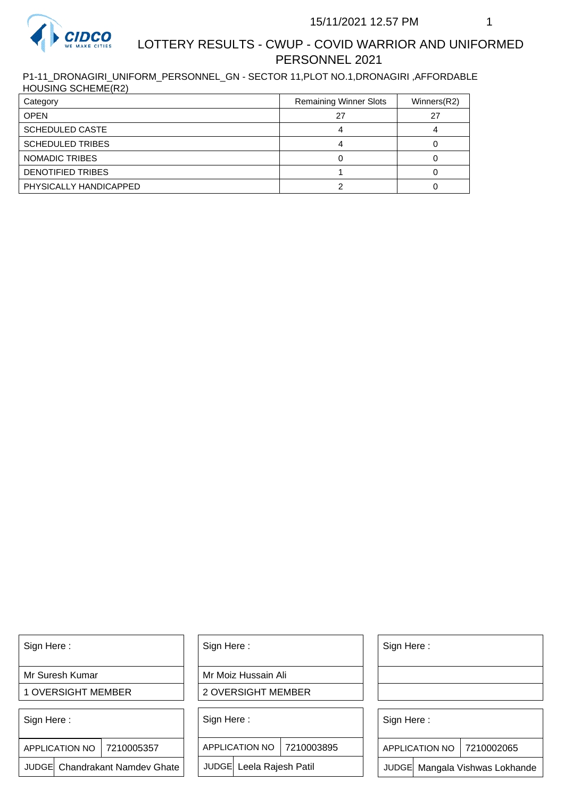

#### 15/11/2021 12.57 PM 1

## LOTTERY RESULTS - CWUP - COVID WARRIOR AND UNIFORMED PERSONNEL 2021

P1-11\_DRONAGIRI\_UNIFORM\_PERSONNEL\_GN - SECTOR 11,PLOT NO.1,DRONAGIRI ,AFFORDABLE HOUSING SCHEME(R2)

| Category                 | <b>Remaining Winner Slots</b> | Winners(R2) |
|--------------------------|-------------------------------|-------------|
| <b>OPEN</b>              | 27                            | 27          |
| <b>SCHEDULED CASTE</b>   |                               |             |
| <b>SCHEDULED TRIBES</b>  |                               |             |
| NOMADIC TRIBES           |                               |             |
| <b>DENOTIFIED TRIBES</b> |                               |             |
| PHYSICALLY HANDICAPPED   |                               |             |

Sign Here :

Mr Suresh Kumar

1 OVERSIGHT MEMBER

Sign Here :

APPLICATION NO | 7210005357

JUDGE Chandrakant Namdev Ghate

Sign Here :

Mr Moiz Hussain Ali

2 OVERSIGHT MEMBER

Sign Here :

APPLICATION NO 7210003895

JUDGE Leela Rajesh Patil

Sign Here :

Sign Here :

APPLICATION NO | 7210002065

Chandrakant Namdev Ghate  $|\quad|$  JUDGE Leela Rajesh Patil  $|\quad|$  JUDGE Mangala Vishwas Lokhande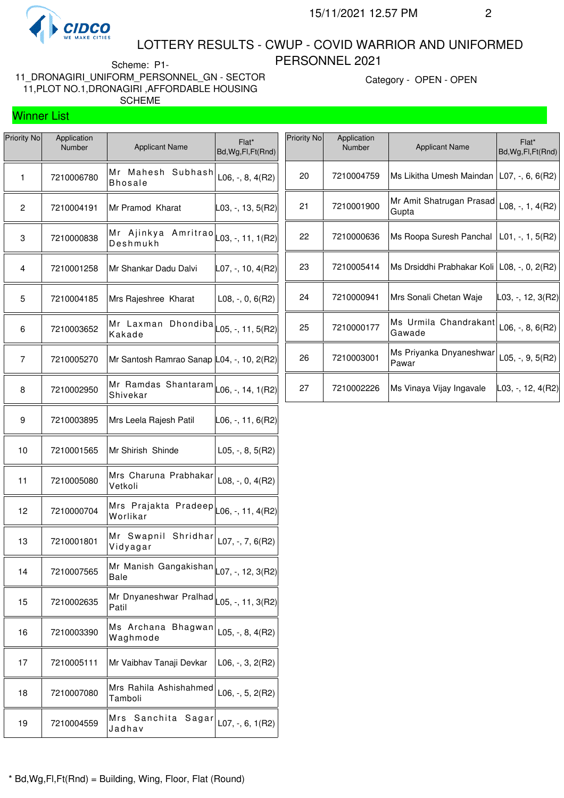

#### LOTTERY RESULTS - CWUP - COVID WARRIOR AND UNIFORMED PERSONNEL 2021

Scheme: P1- 11\_DRONAGIRI\_UNIFORM\_PERSONNEL\_GN - SECTOR 11,PLOT NO.1,DRONAGIRI ,AFFORDABLE HOUSING SCHEME

Category - OPEN - OPEN

# Winner List

| Priority No | Application<br>Number | <b>Applicant Name</b>                                                               | Flat*<br>Bd, Wg, Fl, Ft (Rnd)                  |
|-------------|-----------------------|-------------------------------------------------------------------------------------|------------------------------------------------|
| 1           | 7210006780            | Mr Mahesh<br>Subhash<br><b>Bhosale</b>                                              | $L06, -, 8, 4(R2)$                             |
| 2           | 7210004191            | Mr Pramod Kharat                                                                    | ∣L03, -, 13, 5(R2)                             |
| 3           | 7210000838            | Mr<br>Ajinkya<br>Deshmukh                                                           | Amritrao $\vert_{L03, \, \text{-, 11, 1(R2)}}$ |
| 4           | 7210001258            | Mr Shankar Dadu Dalvi                                                               | L07, -, 10, 4(R2)                              |
| 5           | 7210004185            | Mrs Rajeshree Kharat                                                                | $L08, -, 0, 6(R2)$                             |
| 6           | 7210003652            | Mr Laxman Dhondiba $\vert_{\text{L05, -, 11, 5(R2)}}$<br>Kakade                     |                                                |
| 7           | 7210005270            | Mr Santosh Ramrao Sanap L04, -, 10, 2(R2)                                           |                                                |
| 8           | 7210002950            | Mr Ramdas Shantaram $\vert_{\text{L06, -, 14, 1(R2)}}$<br>Shivekar                  |                                                |
| 9           | 7210003895            | Mrs Leela Rajesh Patil                                                              | ∣L06, -, 11, 6(R2)                             |
| 10          | 7210001565            | Mr Shirish Shinde                                                                   | $L05, -, 8, 5(R2)$                             |
| 11          | 7210005080            | Mrs Charuna Prabhakar<br>Vetkoli                                                    | L08, -, 0, 4(R2)                               |
| 12          | 7210000704            | -<br>Mrs Prajakta Pradeep $\vert_{\text{L06, -, 11, 4(R2)}}$<br>Worlikar            |                                                |
| 13          | 7210001801            | Mr Swapnil<br>Shridhar<br>Vidyagar                                                  | $L07, -7, 6(R2)$                               |
| 14          | 7210007565            | Mr Manish Gangakishan $\vert_{\text{LO}7,\text{--},\text{ 12, 3(R2)}}\vert$<br>Bale |                                                |
| 15          | 7210002635            | Mr Dnyaneshwar Pralhad L05, -, 11, 3(R2)<br>Patil                                   |                                                |
| 16          | 7210003390            | Ms Archana<br>Bhagwan<br>Waghmode                                                   | L05, $-$ , 8, 4(R2)                            |
| 17          | 7210005111            | Mr Vaibhav Tanaji Devkar                                                            | $L06, -3, 2(R2)$                               |
| 18          | 7210007080            | Mrs Rahila Ashishahmed<br>Tamboli                                                   | $L06, -, 5, 2(R2)$                             |
| 19          | 7210004559            | Mrs<br>Sanchita<br>Sagar<br>Jadhav                                                  | $L07, -, 6, 1(R2)$                             |

| Priority No | Application<br><b>Number</b> | <b>Applicant Name</b>                           | Flat*<br>Bd, Wg, Fl, Ft (Rnd) |
|-------------|------------------------------|-------------------------------------------------|-------------------------------|
| 20          | 7210004759                   | Ms Likitha Umesh Maindan   L07, -, 6, 6(R2)     |                               |
| 21          | 7210001900                   | Mr Amit Shatrugan Prasad<br>Gupta               | $L08, -, 1, 4(R2)$            |
| 22          | 7210000636                   | Ms Roopa Suresh Panchal $ $ L01, $-$ , 1, 5(R2) |                               |
| 23          | 7210005414                   | Ms Drsiddhi Prabhakar Koli   L08, -, 0, 2(R2)   |                               |
| 24          | 7210000941                   | Mrs Sonali Chetan Waje                          | L03, -, 12, 3(R2)             |
| 25          | 7210000177                   | Ms Urmila Chandrakant<br>Gawade                 | $L06, -, 8, 6(R2)$            |
| 26          | 7210003001                   | Ms Priyanka Dnyaneshwar<br>Pawar                | $L05, -, 9, 5(R2)$            |
| 27          | 7210002226                   | Ms Vinaya Vijay Ingavale                        | IL03, -, 12, 4(R2)I           |